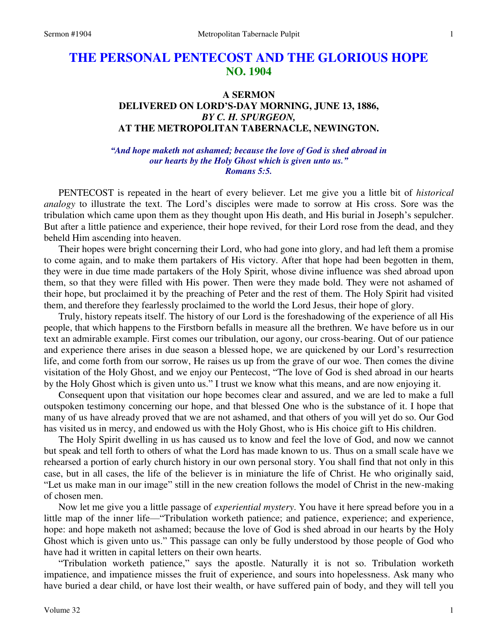# **THE PERSONAL PENTECOST AND THE GLORIOUS HOPE NO. 1904**

## **A SERMON DELIVERED ON LORD'S-DAY MORNING, JUNE 13, 1886,**  *BY C. H. SPURGEON,*  **AT THE METROPOLITAN TABERNACLE, NEWINGTON.**

*"And hope maketh not ashamed; because the love of God is shed abroad in our hearts by the Holy Ghost which is given unto us." Romans 5:5.* 

PENTECOST is repeated in the heart of every believer. Let me give you a little bit of *historical analogy* to illustrate the text. The Lord's disciples were made to sorrow at His cross. Sore was the tribulation which came upon them as they thought upon His death, and His burial in Joseph's sepulcher. But after a little patience and experience, their hope revived, for their Lord rose from the dead, and they beheld Him ascending into heaven.

 Their hopes were bright concerning their Lord, who had gone into glory, and had left them a promise to come again, and to make them partakers of His victory. After that hope had been begotten in them, they were in due time made partakers of the Holy Spirit, whose divine influence was shed abroad upon them, so that they were filled with His power. Then were they made bold. They were not ashamed of their hope, but proclaimed it by the preaching of Peter and the rest of them. The Holy Spirit had visited them, and therefore they fearlessly proclaimed to the world the Lord Jesus, their hope of glory.

 Truly, history repeats itself. The history of our Lord is the foreshadowing of the experience of all His people, that which happens to the Firstborn befalls in measure all the brethren. We have before us in our text an admirable example. First comes our tribulation, our agony, our cross-bearing. Out of our patience and experience there arises in due season a blessed hope, we are quickened by our Lord's resurrection life, and come forth from our sorrow, He raises us up from the grave of our woe. Then comes the divine visitation of the Holy Ghost, and we enjoy our Pentecost, "The love of God is shed abroad in our hearts by the Holy Ghost which is given unto us." I trust we know what this means, and are now enjoying it.

 Consequent upon that visitation our hope becomes clear and assured, and we are led to make a full outspoken testimony concerning our hope, and that blessed One who is the substance of it. I hope that many of us have already proved that we are not ashamed, and that others of you will yet do so. Our God has visited us in mercy, and endowed us with the Holy Ghost, who is His choice gift to His children.

 The Holy Spirit dwelling in us has caused us to know and feel the love of God, and now we cannot but speak and tell forth to others of what the Lord has made known to us. Thus on a small scale have we rehearsed a portion of early church history in our own personal story. You shall find that not only in this case, but in all cases, the life of the believer is in miniature the life of Christ. He who originally said, "Let us make man in our image" still in the new creation follows the model of Christ in the new-making of chosen men.

 Now let me give you a little passage of *experiential mystery*. You have it here spread before you in a little map of the inner life—"Tribulation worketh patience; and patience, experience; and experience, hope: and hope maketh not ashamed; because the love of God is shed abroad in our hearts by the Holy Ghost which is given unto us." This passage can only be fully understood by those people of God who have had it written in capital letters on their own hearts.

"Tribulation worketh patience," says the apostle. Naturally it is not so. Tribulation worketh impatience, and impatience misses the fruit of experience, and sours into hopelessness. Ask many who have buried a dear child, or have lost their wealth, or have suffered pain of body, and they will tell you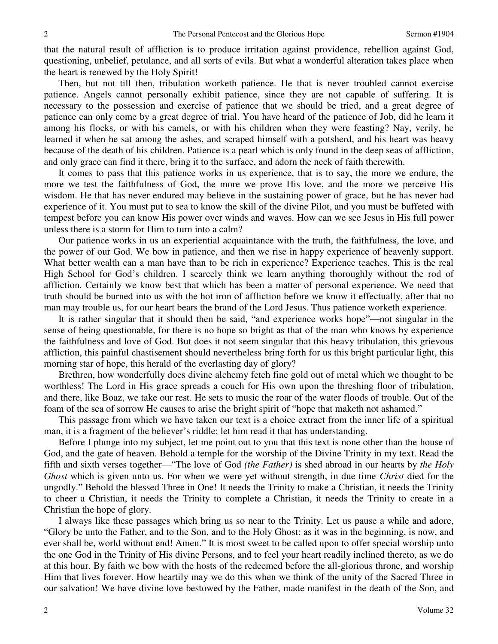that the natural result of affliction is to produce irritation against providence, rebellion against God, questioning, unbelief, petulance, and all sorts of evils. But what a wonderful alteration takes place when the heart is renewed by the Holy Spirit!

 Then, but not till then, tribulation worketh patience. He that is never troubled cannot exercise patience. Angels cannot personally exhibit patience, since they are not capable of suffering. It is necessary to the possession and exercise of patience that we should be tried, and a great degree of patience can only come by a great degree of trial. You have heard of the patience of Job, did he learn it among his flocks, or with his camels, or with his children when they were feasting? Nay, verily, he learned it when he sat among the ashes, and scraped himself with a potsherd, and his heart was heavy because of the death of his children. Patience is a pearl which is only found in the deep seas of affliction, and only grace can find it there, bring it to the surface, and adorn the neck of faith therewith.

 It comes to pass that this patience works in us experience, that is to say, the more we endure, the more we test the faithfulness of God, the more we prove His love, and the more we perceive His wisdom. He that has never endured may believe in the sustaining power of grace, but he has never had experience of it. You must put to sea to know the skill of the divine Pilot, and you must be buffeted with tempest before you can know His power over winds and waves. How can we see Jesus in His full power unless there is a storm for Him to turn into a calm?

 Our patience works in us an experiential acquaintance with the truth, the faithfulness, the love, and the power of our God. We bow in patience, and then we rise in happy experience of heavenly support. What better wealth can a man have than to be rich in experience? Experience teaches. This is the real High School for God's children. I scarcely think we learn anything thoroughly without the rod of affliction. Certainly we know best that which has been a matter of personal experience. We need that truth should be burned into us with the hot iron of affliction before we know it effectually, after that no man may trouble us, for our heart bears the brand of the Lord Jesus. Thus patience worketh experience.

 It is rather singular that it should then be said, "and experience works hope"—not singular in the sense of being questionable, for there is no hope so bright as that of the man who knows by experience the faithfulness and love of God. But does it not seem singular that this heavy tribulation, this grievous affliction, this painful chastisement should nevertheless bring forth for us this bright particular light, this morning star of hope, this herald of the everlasting day of glory?

 Brethren, how wonderfully does divine alchemy fetch fine gold out of metal which we thought to be worthless! The Lord in His grace spreads a couch for His own upon the threshing floor of tribulation, and there, like Boaz, we take our rest. He sets to music the roar of the water floods of trouble. Out of the foam of the sea of sorrow He causes to arise the bright spirit of "hope that maketh not ashamed."

 This passage from which we have taken our text is a choice extract from the inner life of a spiritual man, it is a fragment of the believer's riddle; let him read it that has understanding.

 Before I plunge into my subject, let me point out to you that this text is none other than the house of God, and the gate of heaven. Behold a temple for the worship of the Divine Trinity in my text. Read the fifth and sixth verses together—"The love of God *(the Father)* is shed abroad in our hearts by *the Holy Ghost* which is given unto us. For when we were yet without strength, in due time *Christ* died for the ungodly." Behold the blessed Three in One! It needs the Trinity to make a Christian, it needs the Trinity to cheer a Christian, it needs the Trinity to complete a Christian, it needs the Trinity to create in a Christian the hope of glory.

 I always like these passages which bring us so near to the Trinity. Let us pause a while and adore, "Glory be unto the Father, and to the Son, and to the Holy Ghost: as it was in the beginning, is now, and ever shall be, world without end! Amen." It is most sweet to be called upon to offer special worship unto the one God in the Trinity of His divine Persons, and to feel your heart readily inclined thereto, as we do at this hour. By faith we bow with the hosts of the redeemed before the all-glorious throne, and worship Him that lives forever. How heartily may we do this when we think of the unity of the Sacred Three in our salvation! We have divine love bestowed by the Father, made manifest in the death of the Son, and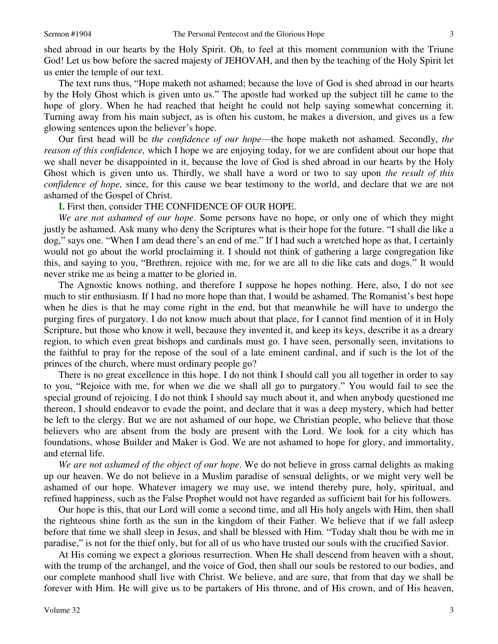shed abroad in our hearts by the Holy Spirit. Oh, to feel at this moment communion with the Triune God! Let us bow before the sacred majesty of JEHOVAH, and then by the teaching of the Holy Spirit let us enter the temple of our text.

 The text runs thus, "Hope maketh not ashamed; because the love of God is shed abroad in our hearts by the Holy Ghost which is given unto us." The apostle had worked up the subject till he came to the hope of glory. When he had reached that height he could not help saying somewhat concerning it. Turning away from his main subject, as is often his custom, he makes a diversion, and gives us a few glowing sentences upon the believer's hope.

 Our first head will be *the confidence of our hope*—the hope maketh not ashamed. Secondly, *the reason of this confidence,* which I hope we are enjoying today, for we are confident about our hope that we shall never be disappointed in it, because the love of God is shed abroad in our hearts by the Holy Ghost which is given unto us. Thirdly, we shall have a word or two to say upon *the result of this confidence of hope,* since, for this cause we bear testimony to the world, and declare that we are not ashamed of the Gospel of Christ.

#### **I.** First then, consider THE CONFIDENCE OF OUR HOPE.

 *We are not ashamed of our hope*. Some persons have no hope, or only one of which they might justly be ashamed. Ask many who deny the Scriptures what is their hope for the future. "I shall die like a dog," says one. "When I am dead there's an end of me." If I had such a wretched hope as that, I certainly would not go about the world proclaiming it. I should not think of gathering a large congregation like this, and saying to you, "Brethren, rejoice with me, for we are all to die like cats and dogs." It would never strike me as being a matter to be gloried in.

 The Agnostic knows nothing, and therefore I suppose he hopes nothing. Here, also, I do not see much to stir enthusiasm. If I had no more hope than that, I would be ashamed. The Romanist's best hope when he dies is that he may come right in the end, but that meanwhile he will have to undergo the purging fires of purgatory. I do not know much about that place, for I cannot find mention of it in Holy Scripture, but those who know it well, because they invented it, and keep its keys, describe it as a dreary region, to which even great bishops and cardinals must go. I have seen, personally seen, invitations to the faithful to pray for the repose of the soul of a late eminent cardinal, and if such is the lot of the princes of the church, where must ordinary people go?

 There is no great excellence in this hope. I do not think I should call you all together in order to say to you, "Rejoice with me, for when we die we shall all go to purgatory." You would fail to see the special ground of rejoicing. I do not think I should say much about it, and when anybody questioned me thereon, I should endeavor to evade the point, and declare that it was a deep mystery, which had better be left to the clergy. But we are not ashamed of our hope, we Christian people, who believe that those believers who are absent from the body are present with the Lord. We look for a city which has foundations, whose Builder and Maker is God. We are not ashamed to hope for glory, and immortality, and eternal life.

*We are not ashamed of the object of our hope*. We do not believe in gross carnal delights as making up our heaven. We do not believe in a Muslim paradise of sensual delights, or we might very well be ashamed of our hope. Whatever imagery we may use, we intend thereby pure, holy, spiritual, and refined happiness, such as the False Prophet would not have regarded as sufficient bait for his followers.

 Our hope is this, that our Lord will come a second time, and all His holy angels with Him, then shall the righteous shine forth as the sun in the kingdom of their Father. We believe that if we fall asleep before that time we shall sleep in Jesus, and shall be blessed with Him. "Today shalt thou be with me in paradise," is not for the thief only, but for all of us who have trusted our souls with the crucified Savior.

 At His coming we expect a glorious resurrection. When He shall descend from heaven with a shout, with the trump of the archangel, and the voice of God, then shall our souls be restored to our bodies, and our complete manhood shall live with Christ. We believe, and are sure, that from that day we shall be forever with Him. He will give us to be partakers of His throne, and of His crown, and of His heaven,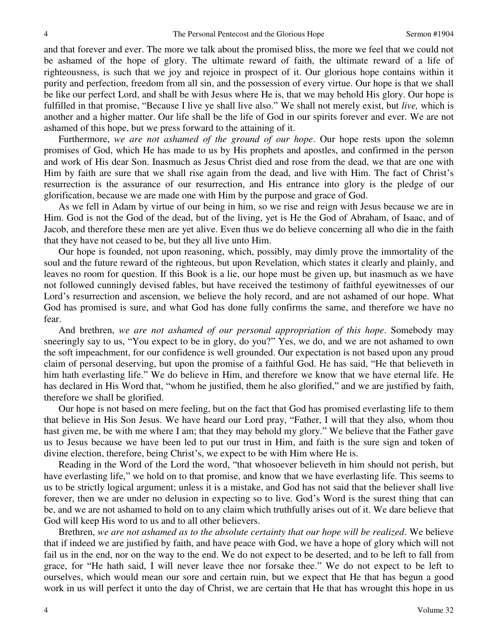and that forever and ever. The more we talk about the promised bliss, the more we feel that we could not be ashamed of the hope of glory. The ultimate reward of faith, the ultimate reward of a life of righteousness, is such that we joy and rejoice in prospect of it. Our glorious hope contains within it purity and perfection, freedom from all sin, and the possession of every virtue. Our hope is that we shall be like our perfect Lord, and shall be with Jesus where He is, that we may behold His glory. Our hope is fulfilled in that promise, "Because I live ye shall live also." We shall not merely exist, but *live,* which is another and a higher matter. Our life shall be the life of God in our spirits forever and ever. We are not ashamed of this hope, but we press forward to the attaining of it.

 Furthermore, *we are not ashamed of the ground of our hope*. Our hope rests upon the solemn promises of God, which He has made to us by His prophets and apostles, and confirmed in the person and work of His dear Son. Inasmuch as Jesus Christ died and rose from the dead, we that are one with Him by faith are sure that we shall rise again from the dead, and live with Him. The fact of Christ's resurrection is the assurance of our resurrection, and His entrance into glory is the pledge of our glorification, because we are made one with Him by the purpose and grace of God.

 As we fell in Adam by virtue of our being in him, so we rise and reign with Jesus because we are in Him. God is not the God of the dead, but of the living, yet is He the God of Abraham, of Isaac, and of Jacob, and therefore these men are yet alive. Even thus we do believe concerning all who die in the faith that they have not ceased to be, but they all live unto Him.

 Our hope is founded, not upon reasoning, which, possibly, may dimly prove the immortality of the soul and the future reward of the righteous, but upon Revelation, which states it clearly and plainly, and leaves no room for question. If this Book is a lie, our hope must be given up, but inasmuch as we have not followed cunningly devised fables, but have received the testimony of faithful eyewitnesses of our Lord's resurrection and ascension, we believe the holy record, and are not ashamed of our hope. What God has promised is sure, and what God has done fully confirms the same, and therefore we have no fear.

 And brethren, *we are not ashamed of our personal appropriation of this hope*. Somebody may sneeringly say to us, "You expect to be in glory, do you?" Yes, we do, and we are not ashamed to own the soft impeachment, for our confidence is well grounded. Our expectation is not based upon any proud claim of personal deserving, but upon the promise of a faithful God. He has said, "He that believeth in him hath everlasting life." We do believe in Him, and therefore we know that we have eternal life. He has declared in His Word that, "whom he justified, them he also glorified," and we are justified by faith, therefore we shall be glorified.

 Our hope is not based on mere feeling, but on the fact that God has promised everlasting life to them that believe in His Son Jesus. We have heard our Lord pray, "Father, I will that they also, whom thou hast given me, be with me where I am; that they may behold my glory." We believe that the Father gave us to Jesus because we have been led to put our trust in Him, and faith is the sure sign and token of divine election, therefore, being Christ's, we expect to be with Him where He is.

 Reading in the Word of the Lord the word, "that whosoever believeth in him should not perish, but have everlasting life," we hold on to that promise, and know that we have everlasting life. This seems to us to be strictly logical argument; unless it is a mistake, and God has not said that the believer shall live forever, then we are under no delusion in expecting so to live. God's Word is the surest thing that can be, and we are not ashamed to hold on to any claim which truthfully arises out of it. We dare believe that God will keep His word to us and to all other believers.

 Brethren, *we are not ashamed as to the absolute certainty that our hope will be realized*. We believe that if indeed we are justified by faith, and have peace with God, we have a hope of glory which will not fail us in the end, nor on the way to the end. We do not expect to be deserted, and to be left to fall from grace, for "He hath said, I will never leave thee nor forsake thee." We do not expect to be left to ourselves, which would mean our sore and certain ruin, but we expect that He that has begun a good work in us will perfect it unto the day of Christ, we are certain that He that has wrought this hope in us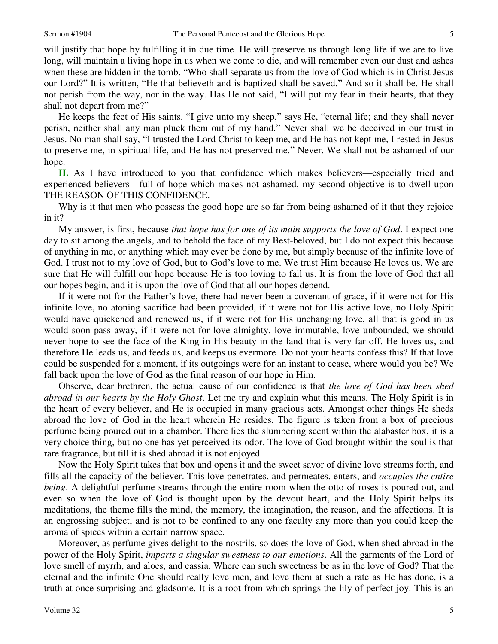will justify that hope by fulfilling it in due time. He will preserve us through long life if we are to live long, will maintain a living hope in us when we come to die, and will remember even our dust and ashes when these are hidden in the tomb. "Who shall separate us from the love of God which is in Christ Jesus our Lord?" It is written, "He that believeth and is baptized shall be saved." And so it shall be. He shall not perish from the way, nor in the way. Has He not said, "I will put my fear in their hearts, that they shall not depart from me?"

 He keeps the feet of His saints. "I give unto my sheep," says He, "eternal life; and they shall never perish, neither shall any man pluck them out of my hand." Never shall we be deceived in our trust in Jesus. No man shall say, "I trusted the Lord Christ to keep me, and He has not kept me, I rested in Jesus to preserve me, in spiritual life, and He has not preserved me." Never. We shall not be ashamed of our hope.

**II.** As I have introduced to you that confidence which makes believers—especially tried and experienced believers—full of hope which makes not ashamed, my second objective is to dwell upon THE REASON OF THIS CONFIDENCE.

Why is it that men who possess the good hope are so far from being ashamed of it that they rejoice in it?

 My answer, is first, because *that hope has for one of its main supports the love of God*. I expect one day to sit among the angels, and to behold the face of my Best-beloved, but I do not expect this because of anything in me, or anything which may ever be done by me, but simply because of the infinite love of God. I trust not to my love of God, but to God's love to me. We trust Him because He loves us. We are sure that He will fulfill our hope because He is too loving to fail us. It is from the love of God that all our hopes begin, and it is upon the love of God that all our hopes depend.

 If it were not for the Father's love, there had never been a covenant of grace, if it were not for His infinite love, no atoning sacrifice had been provided, if it were not for His active love, no Holy Spirit would have quickened and renewed us, if it were not for His unchanging love, all that is good in us would soon pass away, if it were not for love almighty, love immutable, love unbounded, we should never hope to see the face of the King in His beauty in the land that is very far off. He loves us, and therefore He leads us, and feeds us, and keeps us evermore. Do not your hearts confess this? If that love could be suspended for a moment, if its outgoings were for an instant to cease, where would you be? We fall back upon the love of God as the final reason of our hope in Him.

Observe, dear brethren, the actual cause of our confidence is that *the love of God has been shed abroad in our hearts by the Holy Ghost*. Let me try and explain what this means. The Holy Spirit is in the heart of every believer, and He is occupied in many gracious acts. Amongst other things He sheds abroad the love of God in the heart wherein He resides. The figure is taken from a box of precious perfume being poured out in a chamber. There lies the slumbering scent within the alabaster box, it is a very choice thing, but no one has yet perceived its odor. The love of God brought within the soul is that rare fragrance, but till it is shed abroad it is not enjoyed.

 Now the Holy Spirit takes that box and opens it and the sweet savor of divine love streams forth, and fills all the capacity of the believer. This love penetrates, and permeates, enters, and *occupies the entire being*. A delightful perfume streams through the entire room when the otto of roses is poured out, and even so when the love of God is thought upon by the devout heart, and the Holy Spirit helps its meditations, the theme fills the mind, the memory, the imagination, the reason, and the affections. It is an engrossing subject, and is not to be confined to any one faculty any more than you could keep the aroma of spices within a certain narrow space.

 Moreover, as perfume gives delight to the nostrils, so does the love of God, when shed abroad in the power of the Holy Spirit, *imparts a singular sweetness to our emotions*. All the garments of the Lord of love smell of myrrh, and aloes, and cassia. Where can such sweetness be as in the love of God? That the eternal and the infinite One should really love men, and love them at such a rate as He has done, is a truth at once surprising and gladsome. It is a root from which springs the lily of perfect joy. This is an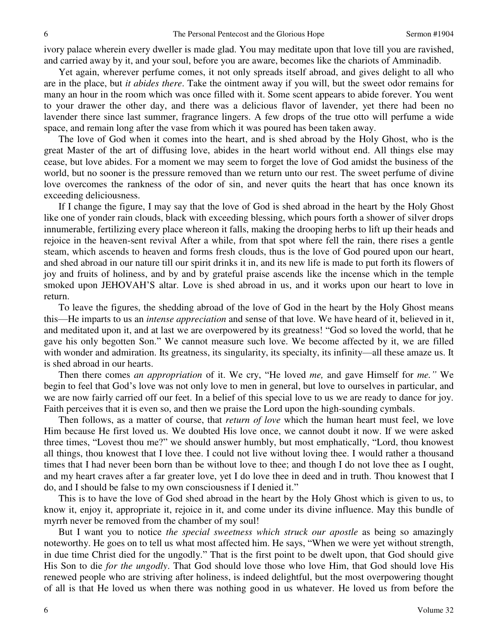ivory palace wherein every dweller is made glad. You may meditate upon that love till you are ravished, and carried away by it, and your soul, before you are aware, becomes like the chariots of Amminadib.

 Yet again, wherever perfume comes, it not only spreads itself abroad, and gives delight to all who are in the place, but *it abides there*. Take the ointment away if you will, but the sweet odor remains for many an hour in the room which was once filled with it. Some scent appears to abide forever. You went to your drawer the other day, and there was a delicious flavor of lavender, yet there had been no lavender there since last summer, fragrance lingers. A few drops of the true otto will perfume a wide space, and remain long after the vase from which it was poured has been taken away.

 The love of God when it comes into the heart, and is shed abroad by the Holy Ghost, who is the great Master of the art of diffusing love, abides in the heart world without end. All things else may cease, but love abides. For a moment we may seem to forget the love of God amidst the business of the world, but no sooner is the pressure removed than we return unto our rest. The sweet perfume of divine love overcomes the rankness of the odor of sin, and never quits the heart that has once known its exceeding deliciousness.

 If I change the figure, I may say that the love of God is shed abroad in the heart by the Holy Ghost like one of yonder rain clouds, black with exceeding blessing, which pours forth a shower of silver drops innumerable, fertilizing every place whereon it falls, making the drooping herbs to lift up their heads and rejoice in the heaven-sent revival After a while, from that spot where fell the rain, there rises a gentle steam, which ascends to heaven and forms fresh clouds, thus is the love of God poured upon our heart, and shed abroad in our nature till our spirit drinks it in, and its new life is made to put forth its flowers of joy and fruits of holiness, and by and by grateful praise ascends like the incense which in the temple smoked upon JEHOVAH'S altar. Love is shed abroad in us, and it works upon our heart to love in return.

 To leave the figures, the shedding abroad of the love of God in the heart by the Holy Ghost means this—He imparts to us an *intense appreciation* and sense of that love. We have heard of it, believed in it, and meditated upon it, and at last we are overpowered by its greatness! "God so loved the world, that he gave his only begotten Son." We cannot measure such love. We become affected by it, we are filled with wonder and admiration. Its greatness, its singularity, its specialty, its infinity—all these amaze us. It is shed abroad in our hearts.

 Then there comes *an appropriation* of it. We cry, "He loved *me,* and gave Himself for *me."* We begin to feel that God's love was not only love to men in general, but love to ourselves in particular, and we are now fairly carried off our feet. In a belief of this special love to us we are ready to dance for joy. Faith perceives that it is even so, and then we praise the Lord upon the high-sounding cymbals.

 Then follows, as a matter of course, that *return of love* which the human heart must feel, we love Him because He first loved us. We doubted His love once, we cannot doubt it now. If we were asked three times, "Lovest thou me?" we should answer humbly, but most emphatically, "Lord, thou knowest all things, thou knowest that I love thee. I could not live without loving thee. I would rather a thousand times that I had never been born than be without love to thee; and though I do not love thee as I ought, and my heart craves after a far greater love, yet I do love thee in deed and in truth. Thou knowest that I do, and I should be false to my own consciousness if I denied it."

 This is to have the love of God shed abroad in the heart by the Holy Ghost which is given to us, to know it, enjoy it, appropriate it, rejoice in it, and come under its divine influence. May this bundle of myrrh never be removed from the chamber of my soul!

 But I want you to notice *the special sweetness which struck our apostle* as being so amazingly noteworthy. He goes on to tell us what most affected him. He says, "When we were yet without strength, in due time Christ died for the ungodly." That is the first point to be dwelt upon, that God should give His Son to die *for the ungodly*. That God should love those who love Him, that God should love His renewed people who are striving after holiness, is indeed delightful, but the most overpowering thought of all is that He loved us when there was nothing good in us whatever. He loved us from before the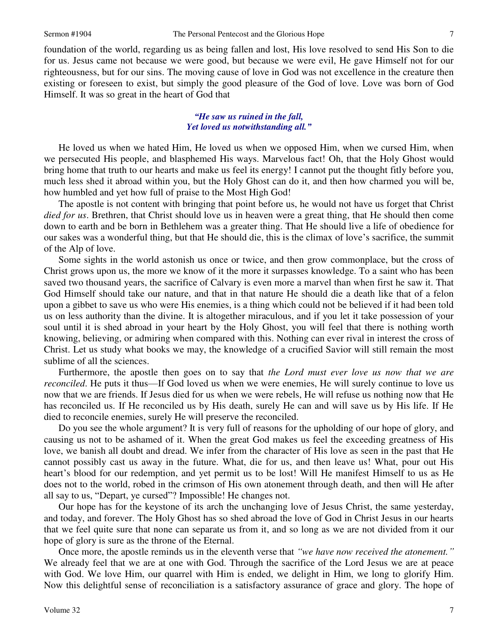foundation of the world, regarding us as being fallen and lost, His love resolved to send His Son to die for us. Jesus came not because we were good, but because we were evil, He gave Himself not for our righteousness, but for our sins. The moving cause of love in God was not excellence in the creature then existing or foreseen to exist, but simply the good pleasure of the God of love. Love was born of God Himself. It was so great in the heart of God that

#### *"He saw us ruined in the fall, Yet loved us notwithstanding all."*

 He loved us when we hated Him, He loved us when we opposed Him, when we cursed Him, when we persecuted His people, and blasphemed His ways. Marvelous fact! Oh, that the Holy Ghost would bring home that truth to our hearts and make us feel its energy! I cannot put the thought fitly before you, much less shed it abroad within you, but the Holy Ghost can do it, and then how charmed you will be, how humbled and yet how full of praise to the Most High God!

 The apostle is not content with bringing that point before us, he would not have us forget that Christ *died for us*. Brethren, that Christ should love us in heaven were a great thing, that He should then come down to earth and be born in Bethlehem was a greater thing. That He should live a life of obedience for our sakes was a wonderful thing, but that He should die, this is the climax of love's sacrifice, the summit of the Alp of love.

 Some sights in the world astonish us once or twice, and then grow commonplace, but the cross of Christ grows upon us, the more we know of it the more it surpasses knowledge. To a saint who has been saved two thousand years, the sacrifice of Calvary is even more a marvel than when first he saw it. That God Himself should take our nature, and that in that nature He should die a death like that of a felon upon a gibbet to save us who were His enemies, is a thing which could not be believed if it had been told us on less authority than the divine. It is altogether miraculous, and if you let it take possession of your soul until it is shed abroad in your heart by the Holy Ghost, you will feel that there is nothing worth knowing, believing, or admiring when compared with this. Nothing can ever rival in interest the cross of Christ. Let us study what books we may, the knowledge of a crucified Savior will still remain the most sublime of all the sciences.

 Furthermore, the apostle then goes on to say that *the Lord must ever love us now that we are reconciled*. He puts it thus—If God loved us when we were enemies, He will surely continue to love us now that we are friends. If Jesus died for us when we were rebels, He will refuse us nothing now that He has reconciled us. If He reconciled us by His death, surely He can and will save us by His life. If He died to reconcile enemies, surely He will preserve the reconciled.

 Do you see the whole argument? It is very full of reasons for the upholding of our hope of glory, and causing us not to be ashamed of it. When the great God makes us feel the exceeding greatness of His love, we banish all doubt and dread. We infer from the character of His love as seen in the past that He cannot possibly cast us away in the future. What, die for us, and then leave us! What, pour out His heart's blood for our redemption, and yet permit us to be lost! Will He manifest Himself to us as He does not to the world, robed in the crimson of His own atonement through death, and then will He after all say to us, "Depart, ye cursed"? Impossible! He changes not.

 Our hope has for the keystone of its arch the unchanging love of Jesus Christ, the same yesterday, and today, and forever. The Holy Ghost has so shed abroad the love of God in Christ Jesus in our hearts that we feel quite sure that none can separate us from it, and so long as we are not divided from it our hope of glory is sure as the throne of the Eternal.

 Once more, the apostle reminds us in the eleventh verse that *"we have now received the atonement."* We already feel that we are at one with God. Through the sacrifice of the Lord Jesus we are at peace with God. We love Him, our quarrel with Him is ended, we delight in Him, we long to glorify Him. Now this delightful sense of reconciliation is a satisfactory assurance of grace and glory. The hope of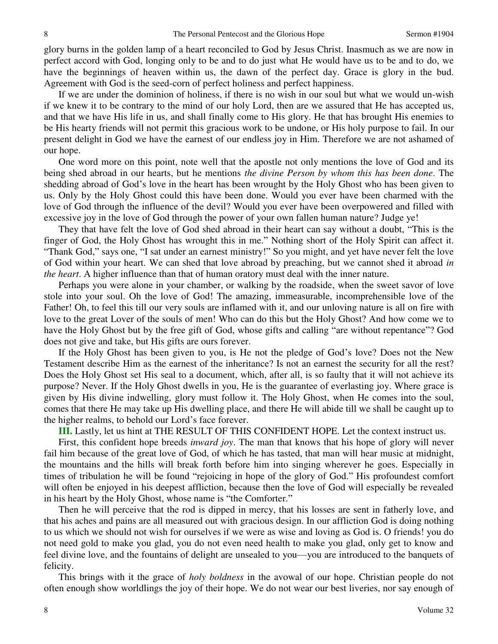glory burns in the golden lamp of a heart reconciled to God by Jesus Christ. Inasmuch as we are now in perfect accord with God, longing only to be and to do just what He would have us to be and to do, we have the beginnings of heaven within us, the dawn of the perfect day. Grace is glory in the bud. Agreement with God is the seed-corn of perfect holiness and perfect happiness.

 If we are under the dominion of holiness, if there is no wish in our soul but what we would un-wish if we knew it to be contrary to the mind of our holy Lord, then are we assured that He has accepted us, and that we have His life in us, and shall finally come to His glory. He that has brought His enemies to be His hearty friends will not permit this gracious work to be undone, or His holy purpose to fail. In our present delight in God we have the earnest of our endless joy in Him. Therefore we are not ashamed of our hope.

 One word more on this point, note well that the apostle not only mentions the love of God and its being shed abroad in our hearts, but he mentions *the divine Person by whom this has been done*. The shedding abroad of God's love in the heart has been wrought by the Holy Ghost who has been given to us. Only by the Holy Ghost could this have been done. Would you ever have been charmed with the love of God through the influence of the devil? Would you ever have been overpowered and filled with excessive joy in the love of God through the power of your own fallen human nature? Judge ye!

 They that have felt the love of God shed abroad in their heart can say without a doubt, "This is the finger of God, the Holy Ghost has wrought this in me." Nothing short of the Holy Spirit can affect it. "Thank God," says one, "I sat under an earnest ministry!" So you might, and yet have never felt the love of God within your heart. We can shed that love abroad by preaching, but we cannot shed it abroad *in the heart*. A higher influence than that of human oratory must deal with the inner nature.

Perhaps you were alone in your chamber, or walking by the roadside, when the sweet savor of love stole into your soul. Oh the love of God! The amazing, immeasurable, incomprehensible love of the Father! Oh, to feel this till our very souls are inflamed with it, and our unloving nature is all on fire with love to the great Lover of the souls of men! Who can do this but the Holy Ghost? And how come we to have the Holy Ghost but by the free gift of God, whose gifts and calling "are without repentance"? God does not give and take, but His gifts are ours forever.

 If the Holy Ghost has been given to you, is He not the pledge of God's love? Does not the New Testament describe Him as the earnest of the inheritance? Is not an earnest the security for all the rest? Does the Holy Ghost set His seal to a document, which, after all, is so faulty that it will not achieve its purpose? Never. If the Holy Ghost dwells in you, He is the guarantee of everlasting joy. Where grace is given by His divine indwelling, glory must follow it. The Holy Ghost, when He comes into the soul, comes that there He may take up His dwelling place, and there He will abide till we shall be caught up to the higher realms, to behold our Lord's face forever.

**III.** Lastly, let us hint at THE RESULT OF THIS CONFIDENT HOPE. Let the context instruct us.

 First, this confident hope breeds *inward joy*. The man that knows that his hope of glory will never fail him because of the great love of God, of which he has tasted, that man will hear music at midnight, the mountains and the hills will break forth before him into singing wherever he goes. Especially in times of tribulation he will be found "rejoicing in hope of the glory of God." His profoundest comfort will often be enjoyed in his deepest affliction, because then the love of God will especially be revealed in his heart by the Holy Ghost, whose name is "the Comforter."

 Then he will perceive that the rod is dipped in mercy, that his losses are sent in fatherly love, and that his aches and pains are all measured out with gracious design. In our affliction God is doing nothing to us which we should not wish for ourselves if we were as wise and loving as God is. O friends! you do not need gold to make you glad, you do not even need health to make you glad, only get to know and feel divine love, and the fountains of delight are unsealed to you—you are introduced to the banquets of felicity.

 This brings with it the grace of *holy boldness* in the avowal of our hope. Christian people do not often enough show worldlings the joy of their hope. We do not wear our best liveries, nor say enough of